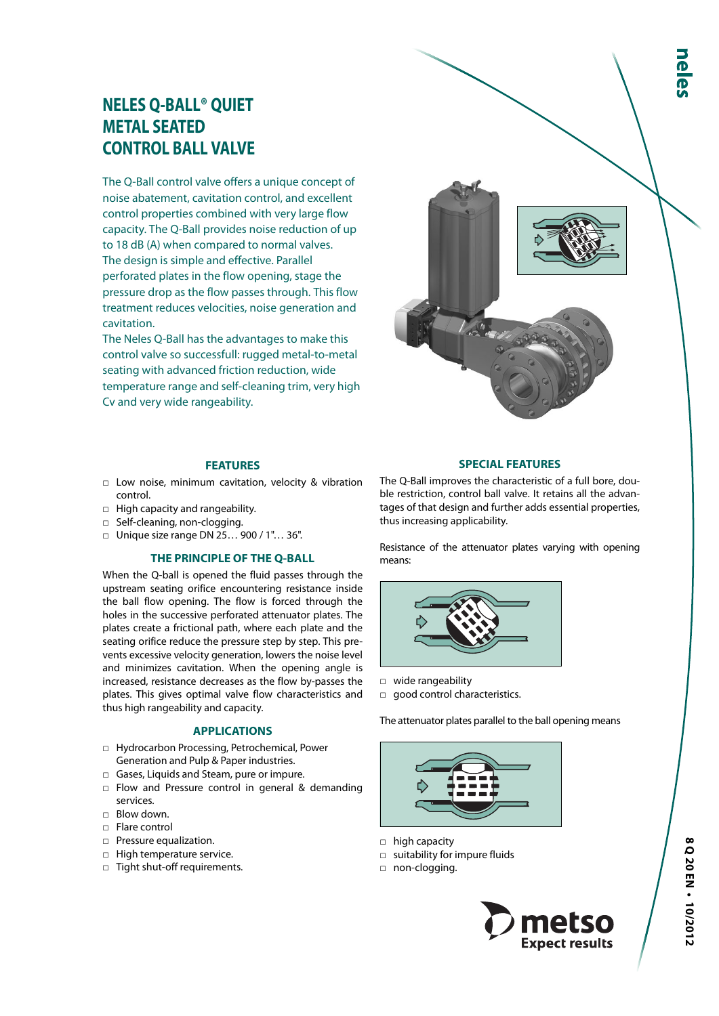# **NELES Q-BALL® QUIET METAL SEATED CONTROL BALL VALVE**

The Q-Ball control valve offers a unique concept of noise abatement, cavitation control, and excellent control properties combined with very large flow capacity. The Q-Ball provides noise reduction of up to 18 dB (A) when compared to normal valves. The design is simple and effective. Parallel perforated plates in the flow opening, stage the pressure drop as the flow passes through. This flow treatment reduces velocities, noise generation and cavitation.

The Neles Q-Ball has the advantages to make this control valve so successfull: rugged metal-to-metal seating with advanced friction reduction, wide temperature range and self-cleaning trim, very high Cv and very wide rangeability.



# **FEATURES**

- □ Low noise, minimum cavitation, velocity & vibration control.
- □ High capacity and rangeability.
- □ Self-cleaning, non-clogging.
- □ Unique size range DN 25… 900 / 1"… 36".

#### **THE PRINCIPLE OF THE Q-BALL**

When the Q-ball is opened the fluid passes through the upstream seating orifice encountering resistance inside the ball flow opening. The flow is forced through the holes in the successive perforated attenuator plates. The plates create a frictional path, where each plate and the seating orifice reduce the pressure step by step. This prevents excessive velocity generation, lowers the noise level and minimizes cavitation. When the opening angle is increased, resistance decreases as the flow by-passes the plates. This gives optimal valve flow characteristics and thus high rangeability and capacity.

### **APPLICATIONS**

- □ Hydrocarbon Processing, Petrochemical, Power Generation and Pulp & Paper industries.
- □ Gases, Liquids and Steam, pure or impure.
- □ Flow and Pressure control in general & demanding services.
- □ Blow down.
- □ Flare control
- □ Pressure equalization.
- □ High temperature service.
- □ Tight shut-off requirements.

### **SPECIAL FEATURES**

The Q-Ball improves the characteristic of a full bore, double restriction, control ball valve. It retains all the advantages of that design and further adds essential properties, thus increasing applicability.

Resistance of the attenuator plates varying with opening means:



- □ wide rangeability
- □ good control characteristics.

The attenuator plates parallel to the ball opening means



- □ high capacity
- □ suitability for impure fluids
- □ non-clogging.